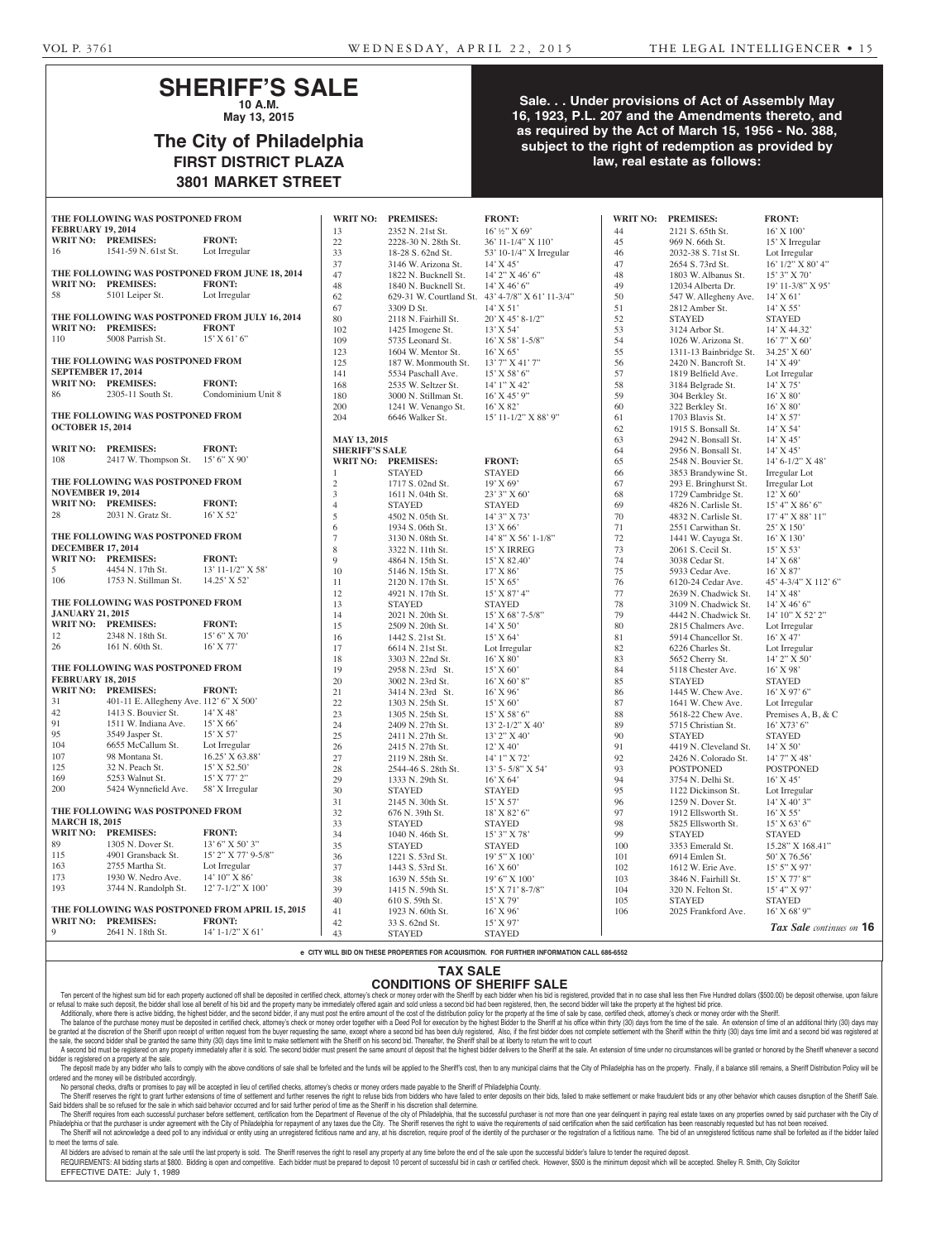# **SHERIFF'S SALE**

**10 A.M. May 13, 2015**

# **The City of Philadelphia FIRST DISTRICT PLAZA 3801 MARKET STREET**

## **Sale. . . Under provisions of Act of Assembly May 16, 1923, P.L. 207 and the Amendments thereto, and as required by the Act of March 15, 1956 - No. 388, subject to the right of redemption as provided by law, real estate as follows:**

| THE FOLLOWING WAS POSTPONED FROM |                                         |                                                 | <b>WRIT NO:</b>       | <b>PREMISES:</b>     | <b>FRONT:</b>                                    | <b>WRIT NO:</b> | <b>PREMISES:</b>       | <b>FRONT:</b>            |
|----------------------------------|-----------------------------------------|-------------------------------------------------|-----------------------|----------------------|--------------------------------------------------|-----------------|------------------------|--------------------------|
| <b>FEBRUARY 19, 2014</b>         |                                         |                                                 | 13                    | 2352 N. 21st St.     | $16'$ ½" X 69'                                   | 44              | 2121 S. 65th St.       | $16'$ X $100'$           |
|                                  | <b>WRIT NO: PREMISES:</b>               | <b>FRONT:</b>                                   | 22                    | 2228-30 N. 28th St.  | 36' 11-1/4" X 110'                               | 45              | 969 N. 66th St.        | 15' X Irregular          |
| 16                               | 1541-59 N. 61st St.                     | Lot Irregular                                   | 33                    | 18-28 S. 62nd St.    | 53' 10-1/4" X Irregular                          | 46              | 2032-38 S. 71st St.    | Lot Irregular            |
|                                  |                                         |                                                 | 37                    | 3146 W. Arizona St.  | $14'$ X 45'                                      | 47              | 2654 S. 73rd St.       | $16'$ $1/2''$ X $80'$ 4" |
|                                  |                                         | THE FOLLOWING WAS POSTPONED FROM JUNE 18, 2014  | 47                    | 1822 N. Bucknell St. | $14'$ 2" X 46' 6"                                | 48              | 1803 W. Albanus St.    | 15' 3" X 70'             |
|                                  | WRIT NO: PREMISES:                      | <b>FRONT:</b>                                   | 48                    | 1840 N. Bucknell St. | $14'$ X 46' 6"                                   | 49              | 12034 Alberta Dr.      | 19' 11-3/8" X 95'        |
| 58                               | 5101 Leiper St.                         | Lot Irregular                                   | 62                    |                      | 629-31 W. Courtland St. 43' 4-7/8" X 61' 11-3/4" | 50              | 547 W. Allegheny Ave.  | $14'$ X 61'              |
|                                  |                                         |                                                 | 67                    | 3309 D St.           | $14'$ X 51'                                      | 51              | 2812 Amber St.         | $14'$ X 55'              |
|                                  |                                         | THE FOLLOWING WAS POSTPONED FROM JULY 16, 2014  | 80                    | 2118 N. Fairhill St. | $20'$ X 45' 8-1/2"                               | 52              | <b>STAYED</b>          | <b>STAYED</b>            |
|                                  | WRIT NO: PREMISES:                      | <b>FRONT</b>                                    | 102                   | 1425 Imogene St.     | $13'$ X 54'                                      | 53              | 3124 Arbor St.         | 14' X 44.32'             |
| 110                              | 5008 Parrish St.                        | $15'$ X 61' 6"                                  | 109                   | 5735 Leonard St.     | 16' X 58' 1-5/8"                                 | 54              | 1026 W. Arizona St.    | 16' 7" X 60'             |
|                                  |                                         |                                                 | 123                   | 1604 W. Mentor St.   | $16'$ X 65'                                      | 55              | 1311-13 Bainbridge St. | $34.25'$ X 60'           |
|                                  | THE FOLLOWING WAS POSTPONED FROM        |                                                 | 125                   | 187 W. Monmouth St.  | 13' 7" X 41' 7"                                  | 56              | 2420 N. Bancroft St.   | 14' X 49'                |
| <b>SEPTEMBER 17, 2014</b>        |                                         |                                                 | 141                   | 5534 Paschall Ave.   | $15'$ X 58' 6"                                   | 57              | 1819 Belfield Ave.     | Lot Irregular            |
|                                  | <b>WRIT NO: PREMISES:</b>               | <b>FRONT:</b>                                   | 168                   | 2535 W. Seltzer St.  | 14' 1" X 42'                                     | 58              | 3184 Belgrade St.      | $14'$ X 75'              |
| 86                               | 2305-11 South St.                       | Condominium Unit 8                              | 180                   | 3000 N. Stillman St. | $16'$ X 45' 9"                                   | 59              | 304 Berkley St.        | $16'$ X 80'              |
|                                  |                                         |                                                 | 200                   | 1241 W. Venango St.  | $16'$ X 82'                                      | 60              | 322 Berkley St.        | $16'$ X $80'$            |
|                                  | THE FOLLOWING WAS POSTPONED FROM        |                                                 | 204                   | 6646 Walker St.      | 15' 11-1/2" X 88' 9"                             | 61              | 1703 Blavis St.        | $14'$ X 57'              |
| <b>OCTOBER 15, 2014</b>          |                                         |                                                 |                       |                      |                                                  | 62              | 1915 S. Bonsall St.    | 14' X 54'                |
|                                  |                                         |                                                 | <b>MAY 13, 2015</b>   |                      |                                                  | 63              | 2942 N. Bonsall St.    | $14'$ X 45'              |
|                                  | WRIT NO: PREMISES:                      | <b>FRONT:</b>                                   | <b>SHERIFF'S SALE</b> |                      |                                                  | 64              | 2956 N. Bonsall St.    | $14'$ X 45'              |
| 108                              | 2417 W. Thompson St. 15' 6" X 90"       |                                                 |                       | WRIT NO: PREMISES:   | <b>FRONT:</b>                                    | 65              | 2548 N. Bouvier St.    | 14' 6-1/2" X 48'         |
|                                  |                                         |                                                 | 1                     | <b>STAYED</b>        | <b>STAYED</b>                                    | 66              | 3853 Brandywine St.    | Irregular Lot            |
|                                  | THE FOLLOWING WAS POSTPONED FROM        |                                                 | 2                     | 1717 S. 02nd St.     | 19' X 69'                                        | 67              | 293 E. Bringhurst St.  | Irregular Lot            |
| <b>NOVEMBER 19, 2014</b>         |                                         |                                                 | 3                     | 1611 N. 04th St.     | 23' 3" X 60'                                     | 68              | 1729 Cambridge St.     | 12' X 60'                |
|                                  | <b>WRIT NO: PREMISES:</b>               | <b>FRONT:</b>                                   | $\overline{4}$        | <b>STAYED</b>        | <b>STAYED</b>                                    | 69              | 4826 N. Carlisle St.   | 15' 4" X 86' 6"          |
| 28                               | 2031 N. Gratz St.                       | $16'$ X 52'                                     | 5                     | 4502 N. 05th St.     | 14' 3" X 73'                                     | $70\,$          | 4832 N. Carlisle St.   | 17' 4" X 88' 11"         |
|                                  |                                         |                                                 | 6                     | 1934 S. 06th St.     | 13' X 66'                                        | 71              | 2551 Carwithan St.     | $25'$ X $150'$           |
|                                  | THE FOLLOWING WAS POSTPONED FROM        |                                                 | $\tau$                | 3130 N. 08th St.     | 14' 8" X 56' 1-1/8"                              | $72\,$          | 1441 W. Cayuga St.     | 16' X 130'               |
| <b>DECEMBER 17, 2014</b>         |                                         |                                                 | 8                     | 3322 N. 11th St.     | 15' X IRREG                                      | 73              | 2061 S. Cecil St.      | $15'$ X 53'              |
|                                  | WRIT NO: PREMISES:                      | <b>FRONT:</b>                                   | 9                     | 4864 N. 15th St.     | 15' X 82.40'                                     | 74              | 3038 Cedar St.         | $14'$ X 68'              |
| 5                                | 4454 N. 17th St.                        | 13' 11-1/2" X 58'                               | 10                    | 5146 N. 15th St.     | $17'$ X 86'                                      | 75              | 5933 Cedar Ave.        | $16'$ X 87'              |
| 106                              | 1753 N. Stillman St.                    | 14.25' X 52'                                    | 11                    | 2120 N. 17th St.     | $15'$ X 65'                                      | 76              | 6120-24 Cedar Ave.     | 45' 4-3/4" X 112' 6"     |
|                                  |                                         |                                                 | 12                    | 4921 N. 17th St.     | $15'$ X 87' 4"                                   | 77              | 2639 N. Chadwick St.   | $14'$ X 48'              |
| THE FOLLOWING WAS POSTPONED FROM |                                         |                                                 | 13                    | <b>STAYED</b>        | <b>STAYED</b>                                    | 78              | 3109 N. Chadwick St.   | $14'$ X 46' 6"           |
| <b>JANUARY 21, 2015</b>          |                                         |                                                 | 14                    | 2021 N. 20th St.     | $15'$ X 68' 7-5/8"                               | 79              | 4442 N. Chadwick St.   | 14' 10" X 52' 2"         |
|                                  | WRIT NO: PREMISES:                      | <b>FRONT:</b>                                   | 15                    | 2509 N. 20th St.     | $14'$ X 50'                                      | 80              | 2815 Chalmers Ave.     | Lot Irregular            |
| 12                               | 2348 N. 18th St.                        | 15' 6'' X 70'                                   | 16                    | 1442 S. 21st St.     | $15'$ X 64'                                      | 81              | 5914 Chancellor St.    | $16'$ X 47'              |
| 26                               | 161 N. 60th St.                         | 16' X 77'                                       | 17                    | 6614 N. 21st St.     | Lot Irregular                                    | 82              | 6226 Charles St.       | Lot Irregular            |
|                                  |                                         |                                                 | 18                    | 3303 N. 22nd St.     | $16'$ X 80'                                      | 83              | 5652 Cherry St.        | 14' 2" X 50'             |
|                                  | THE FOLLOWING WAS POSTPONED FROM        |                                                 | 19                    | 2958 N. 23rd St.     | 15' X 60'                                        | 84              | 5118 Chester Ave.      | $16'$ X 98'              |
| <b>FEBRUARY 18, 2015</b>         |                                         |                                                 | 20                    | 3002 N. 23rd St.     | $16'$ X 60' 8"                                   | 85              | <b>STAYED</b>          | <b>STAYED</b>            |
|                                  | WRIT NO: PREMISES:                      | <b>FRONT:</b>                                   | 21                    | 3414 N. 23rd St.     | $16'$ X 96'                                      | 86              | 1445 W. Chew Ave.      | $16'$ X 97' 6"           |
| 31                               | 401-11 E. Allegheny Ave. 112' 6" X 500' |                                                 | 22                    | 1303 N. 25th St.     | $15'$ X 60'                                      | 87              | 1641 W. Chew Ave.      | Lot Irregular            |
| 42                               | 1413 S. Bouvier St.                     | 14' X 48'                                       | 23                    | 1305 N. 25th St.     | 15' X 58' 6"                                     | 88              | 5618-22 Chew Ave.      | Premises A, B, & C       |
| 91                               | 1511 W. Indiana Ave.                    | 15' X 66'                                       | 24                    | 2409 N. 27th St.     | 13' 2-1/2" X 40'                                 | 89              | 5715 Christian St.     | 16' X73' 6"              |
| 95                               | 3549 Jasper St.                         | 15' X 57'                                       | 25                    | 2411 N. 27th St.     | 13' 2" X 40'                                     | 90              | <b>STAYED</b>          | <b>STAYED</b>            |
| 104                              | 6655 McCallum St.                       | Lot Irregular                                   | 26                    | 2415 N. 27th St.     | 12'X40'                                          | 91              | 4419 N. Cleveland St.  | $14'$ X 50'              |
| 107                              | 98 Montana St.                          | 16.25' X 63.88'                                 | 27                    | 2119 N. 28th St.     | 14' 1" X 72'                                     | 92              | 2426 N. Colorado St.   | 14' 7" X 48'             |
| 125                              | 32 N. Peach St.                         | 15' X 52.50'                                    | 28                    | 2544-46 S. 28th St.  | 13' 5- 5/8" X 54'                                | 93              | <b>POSTPONED</b>       | <b>POSTPONED</b>         |
| 169                              | 5253 Walnut St.                         | 15' X 77' 2"                                    | 29                    | 1333 N. 29th St.     | 16' X 64'                                        | 94              | 3754 N. Delhi St.      | $16'$ X 45'              |
| 200                              | 5424 Wynnefield Ave.                    | 58' X Irregular                                 | 30                    | <b>STAYED</b>        | <b>STAYED</b>                                    | 95              | 1122 Dickinson St.     | Lot Irregular            |
|                                  |                                         |                                                 | 31                    | 2145 N. 30th St.     | $15'$ X 57'                                      | 96              | 1259 N. Dover St.      | $14'$ X 40' 3"           |
| THE FOLLOWING WAS POSTPONED FROM |                                         |                                                 | 32                    | 676 N. 39th St.      | 18' X 82' 6"                                     | 97              | 1912 Ellsworth St.     | $16'$ X 55'              |
| <b>MARCH 18, 2015</b>            |                                         |                                                 | 33                    | <b>STAYED</b>        | <b>STAYED</b>                                    | 98              | 5825 Ellsworth St.     | $15'$ X 63' 6"           |
|                                  | WRIT NO: PREMISES:                      | <b>FRONT:</b>                                   | 34                    | 1040 N. 46th St.     | 15' 3" X 78'                                     | 99              | <b>STAYED</b>          | <b>STAYED</b>            |
| 89                               | 1305 N. Dover St.                       | $13'$ 6" X 50' 3"                               | 35                    | <b>STAYED</b>        | <b>STAYED</b>                                    | 100             | 3353 Emerald St.       | 15.28" X 168.41"         |
| 115                              | 4901 Gransback St.                      | 15' 2" X 77' 9-5/8"                             | 36                    | 1221 S. 53rd St.     | $19'5''$ X $100'$                                | 101             | 6914 Emlen St.         | 50' X 76.56'             |
| 163                              | 2755 Martha St.                         | Lot Irregular                                   | 37                    | 1443 S. 53rd St.     | $16'$ X 60'                                      | 102             | 1612 W. Erie Ave.      | 15' 5" X 97'             |
| 173                              | 1930 W. Nedro Ave.                      | 14' 10" X 86'                                   | 38                    | 1639 N. 55th St.     | 19' 6" X 100'                                    | 103             | 3846 N. Fairhill St.   | $15'$ X 77' 8"           |
| 193                              | 3744 N. Randolph St.                    | $12'$ 7- $1/2''$ X $100'$                       | 39                    | 1415 N. 59th St.     | $15'$ X 71' 8-7/8"                               | 104             | 320 N. Felton St.      | 15' 4" X 97'             |
|                                  |                                         |                                                 | 40                    | 610 S. 59th St.      | 15' X 79'                                        | 105             | <b>STAYED</b>          | <b>STAYED</b>            |
|                                  |                                         | THE FOLLOWING WAS POSTPONED FROM APRIL 15, 2015 | 41                    | 1923 N. 60th St.     | $16'$ X 96'                                      | 106             | 2025 Frankford Ave.    | 16' X 68' 9"             |
|                                  | WRIT NO: PREMISES:                      | <b>FRONT:</b>                                   | 42                    | 33 S. 62nd St.       | 15' X 97'                                        |                 |                        | Tax Sale continues on 16 |
| 9                                | 2641 N. 18th St.                        | 14' 1-1/2" X 61'                                | 43                    | <b>STAYED</b>        | <b>STAYED</b>                                    |                 |                        |                          |

**e CITY WILL BID ON THESE PROPERTIES FOR ACQUISITION. FOR FURTHER INFORMATION CALL 686-6552**

### **TAX SALE**

# **CONDITIONS OF SHERIFF SALE**

Ten percent of the highest sum bid for each property auctioned off shall be deposited in certified check, attorney's check or money order with the Sheriff by each bidder when his bid is registered, provided that in no case or refusal to make such deposit, the bidder shall lose all benefit of his bid and the property many be immediately offered again and sold unless a second bid had been registered, then, the second bidder will take the prope Additionally, where there is active bidding, the highest bidder, and the second bidder, if any must post the entire amount of the cost of the distribution policy for the property at the time of sale by case, certified chec

The balance of the purchase money must be deposited in certified check, attorney's check or money order together with a Deed Poll for execution by the highest Bidder to the Sheriff at his office within thirty (30) days fro rranted at the discretion of the Sheriff upon receipt of written request from the buyer requesting the same, except where a second bid has been duly registered. Also, if the first bidder does not complete settlement with t the sale, the second bidder shall be granted the same thirty (30) days time limit to make settlement with the Sheriff on his second bid. Thereafter, the Sheriff shall be at liberty to return the writ to court

A second bid must be registered on any property immediately after it is sold. The second bidder must present the same amount of deposit that the highest bidder delivers to the Sheriff at the sale. An extension of time unde bidder is registered on a property at the sale.

The deposit made by any bidder who fails to comply with the above conditions of sale shall be forfeited and the funds will be applied to the Sheriff's cost, then to any municipal claims that the City of Philadelphia has on ordered and the money will be distributed accordingly. No personal checks, drafts or promises to pay will be accepted in lieu of certified checks, attorney's checks or money orders made payable to the Sheriff of Philadelphia County.

The Sheriff reserves the right to grant further extensions of time of settlement and further reserves the right to refuse bids from bidders who have failed to enter deposits on their bids, failed to make settlement or make Said bidders shall be so refused for the sale in which said behavior occurred and for said further period of time as the Sheriff in his discretion shall determine.

The Sheriff requires from each successful purchaser before settlement, certification from the Department of Revenue of the city of Philadelphia, that the successful purchaser is not more than one year delinquent in paying Philadelphia or that the purchaser is under agreement with the City of Philadelphia for repayment of any taxes due the City. The Sheriff reserves the right to waive the requirements of said certification when the said cert The Sheriff will not acknowledge a deed poll to any individual or entity using an unregistered fictitious name and any, at his discretion, require proof of the identity of the purchaser or the registration of a fictitious to meet the terms of sale.

All bidders are advised to remain at the sale until the last property is sold. The Sheriff reserves the right to resell any property at any time before the end of the sale upon the successful bidder's failure to tender the REQUIREMENTS: All bidding starts at \$800. Bidding is open and competitive. Each bidder must be prepared to deposit 10 percent of successful bid in cash or certified check. However, \$500 is the minimum deposit which will be EFFECTIVE DATE: July 1, 1989